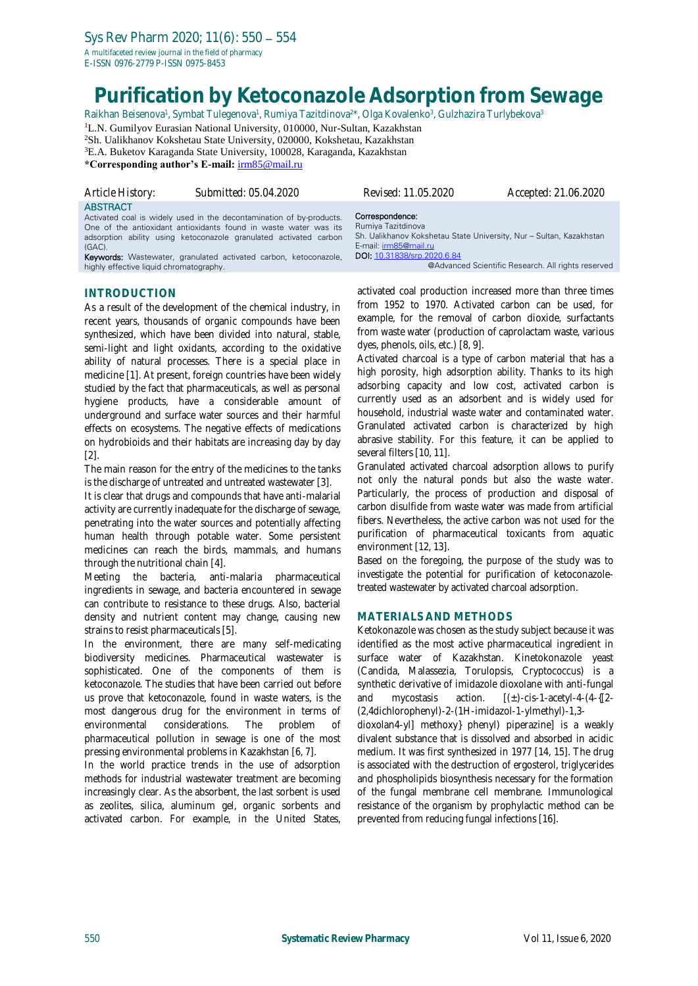E-ISSN 0976-2779 P-ISSN 0975-8453

# **Purification by Ketoconazole Adsorption from Sewage**

Raikhan Beisenova<sup>1</sup>, Symbat Tulegenova<sup>1</sup>, Rumiya Tazitdinova<sup>2\*</sup>, Olga Kovalenko<sup>3</sup>, Gulzhazira Turlybekova<sup>3</sup>

<sup>1</sup>L.N. Gumilyov Eurasian National University, 010000, Nur-Sultan, Kazakhstan

<sup>2</sup>Sh. Ualikhanov Kokshetau State University, 020000, Kokshetau, Kazakhstan

<sup>3</sup>E.A. Buketov Karaganda State University, 100028, Karaganda, Kazakhstan

**\*Corresponding author's E-mail:** [irm85@mail.ru](mailto:irm85@mail.ru)

| Article History:             | Submitted: 05.04.2020                                                                                                                                                                                                                                                          | Revised: 11.05.2020                                                                                                                                                  | Accepted: 21.06.2020 |
|------------------------------|--------------------------------------------------------------------------------------------------------------------------------------------------------------------------------------------------------------------------------------------------------------------------------|----------------------------------------------------------------------------------------------------------------------------------------------------------------------|----------------------|
| <b>ABSTRACT</b><br>$(GAC)$ . | Activated coal is widely used in the decontamination of by-products.<br>One of the antioxidant antioxidants found in waste water was its<br>adsorption ability using ketoconazole granulated activated carbon<br>Keywords: Wastewater granulated activated carbon ketoconazole | Correspondence:<br>Rumiya Tazitdinova<br>Sh. Ualikhanov Kokshetau State University, Nur - Sultan, Kazakhstan<br>E-mail: irm85@mail.ru<br>DOI: 10.31838/srp.2020.6.84 |                      |

Keywords: Wastewater, granulated activated carbon, ketoconazole, highly effective liquid chromatography.

## **INTRODUCTION**

As a result of the development of the chemical industry, in recent years, thousands of organic compounds have been synthesized, which have been divided into natural, stable, semi-light and light oxidants, according to the oxidative ability of natural processes. There is a special place in medicine [1]. At present, foreign countries have been widely studied by the fact that pharmaceuticals, as well as personal hygiene products, have a considerable amount of underground and surface water sources and their harmful effects on ecosystems. The negative effects of medications on hydrobioids and their habitats are increasing day by day [2].

The main reason for the entry of the medicines to the tanks is the discharge of untreated and untreated wastewater [3].

It is clear that drugs and compounds that have anti-malarial activity are currently inadequate for the discharge of sewage. penetrating into the water sources and potentially affecting human health through potable water. Some persistent medicines can reach the birds, mammals, and humans through the nutritional chain [4].

Meeting the bacteria, anti-malaria pharmaceutical ingredients in sewage, and bacteria encountered in sewage can contribute to resistance to these drugs. Also, bacterial density and nutrient content may change, causing new strains to resist pharmaceuticals [5].

In the environment, there are many self-medicating biodiversity medicines. Pharmaceutical wastewater is sophisticated. One of the components of them is ketoconazole. The studies that have been carried out before us prove that ketoconazole, found in waste waters, is the most dangerous drug for the environment in terms of environmental considerations. The problem of pharmaceutical pollution in sewage is one of the most pressing environmental problems in Kazakhstan [6, 7].

In the world practice trends in the use of adsorption methods for industrial wastewater treatment are becoming increasingly clear. As the absorbent, the last sorbent is used as zeolites, silica, aluminum gel, organic sorbents and activated carbon. For example, in the United States,

activated coal production increased more than three times from 1952 to 1970. Activated carbon can be used, for example, for the removal of carbon dioxide, surfactants from waste water (production of caprolactam waste, various dyes, phenols, oils, etc.) [8, 9].

@Advanced Scientific Research. All rights reserved

Activated charcoal is a type of carbon material that has a high porosity, high adsorption ability. Thanks to its high adsorbing capacity and low cost, activated carbon is currently used as an adsorbent and is widely used for household, industrial waste water and contaminated water. Granulated activated carbon is characterized by high abrasive stability. For this feature, it can be applied to several filters [10, 11].

Granulated activated charcoal adsorption allows to purify not only the natural ponds but also the waste water. Particularly, the process of production and disposal of carbon disulfide from waste water was made from artificial fibers. Nevertheless, the active carbon was not used for the purification of pharmaceutical toxicants from aquatic environment [12, 13].

Based on the foregoing, the purpose of the study was to investigate the potential for purification of ketoconazoletreated wastewater by activated charcoal adsorption.

## **MATERIALS AND METHODS**

Ketokonazole was chosen as the study subject because it was identified as the most active pharmaceutical ingredient in surface water of Kazakhstan. Kinetokonazole yeast (Candida, Malassezia, Torulopsis, Cryptococcus) is a synthetic derivative of imidazole dioxolane with anti-fungal and mycostasis action.  $[(\pm)$ -cis-1-acetyl-4- $(4-{(2-\epsilon)}$ (2,4dichlorophenyl)-2-(1H-imidazol-1-ylmethyl)-1,3-

dioxolan4-yl] methoxy} phenyl) piperazine] is a weakly divalent substance that is dissolved and absorbed in acidic medium. It was first synthesized in 1977 [14, 15]. The drug is associated with the destruction of ergosterol, triglycerides and phospholipids biosynthesis necessary for the formation of the fungal membrane cell membrane. Immunological resistance of the organism by prophylactic method can be prevented from reducing fungal infections [16].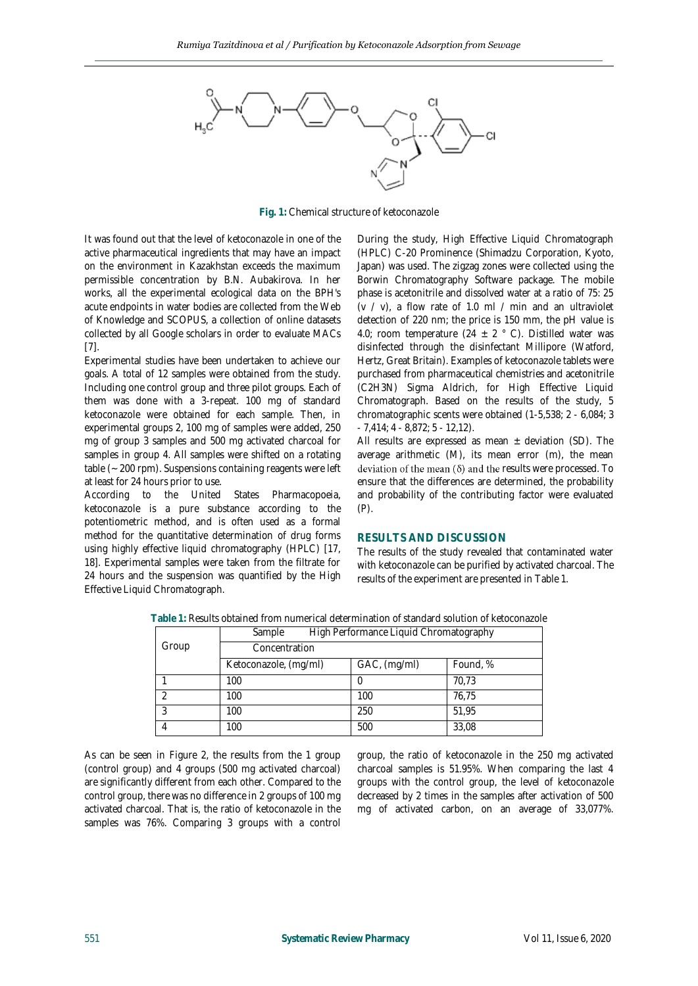

**Fig. 1:** Chemical structure of ketoconazole

It was found out that the level of ketoconazole in one of the active pharmaceutical ingredients that may have an impact on the environment in Kazakhstan exceeds the maximum permissible concentration by B.N. Aubakirova. In her works, all the experimental ecological data on the BPH's acute endpoints in water bodies are collected from the Web of Knowledge and SCOPUS, a collection of online datasets collected by all Google scholars in order to evaluate MACs [7].

Experimental studies have been undertaken to achieve our goals. A total of 12 samples were obtained from the study. Including one control group and three pilot groups. Each of them was done with a 3-repeat. 100 mg of standard ketoconazole were obtained for each sample. Then, in experimental groups 2, 100 mg of samples were added, 250 mg of group 3 samples and 500 mg activated charcoal for samples in group 4. All samples were shifted on a rotating table (~ 200 rpm). Suspensions containing reagents were left at least for 24 hours prior to use.

According to the United States Pharmacopoeia, ketoconazole is a pure substance according to the potentiometric method, and is often used as a formal method for the quantitative determination of drug forms using highly effective liquid chromatography (HPLC) [17, 18]. Experimental samples were taken from the filtrate for 24 hours and the suspension was quantified by the High Effective Liquid Chromatograph.

During the study, High Effective Liquid Chromatograph (HPLC) C-20 Prominence (Shimadzu Corporation, Kyoto, Japan) was used. The zigzag zones were collected using the Borwin Chromatography Software package. The mobile phase is acetonitrile and dissolved water at a ratio of 75: 25 (v / v), a flow rate of 1.0 ml / min and an ultraviolet detection of 220 nm; the price is 150 mm, the pH value is 4.0; room temperature (24  $\pm$  2 ° C). Distilled water was disinfected through the disinfectant Millipore (Watford, Hertz, Great Britain). Examples of ketoconazole tablets were purchased from pharmaceutical chemistries and acetonitrile (C2H3N) Sigma Aldrich, for High Effective Liquid Chromatograph. Based on the results of the study, 5 chromatographic scents were obtained (1-5,538; 2 - 6,084; 3 - 7,414; 4 - 8,872; 5 - 12,12).

All results are expressed as mean  $\pm$  deviation (SD). The average arithmetic (M), its mean error (m), the mean deviation of the mean  $(\delta)$  and the results were processed. To ensure that the differences are determined, the probability and probability of the contributing factor were evaluated  $(P)$ .

## **RESULTS AND DISCUSSION**

The results of the study revealed that contaminated water with ketoconazole can be purified by activated charcoal. The results of the experiment are presented in Table 1.

|       | <b>JUILINIC</b><br>THULLET CHULLIGHCC LIQUID CHIULIALUQI APHY |              |          |
|-------|---------------------------------------------------------------|--------------|----------|
| Group | Concentration                                                 |              |          |
|       | Ketoconazole, (mg/ml)                                         | GAC, (mg/ml) | Found, % |
|       | 100                                                           |              | 70.73    |
|       | 100                                                           | 100          | 76.75    |
|       | 100                                                           | 250          | 51.95    |
|       | 100                                                           | 500          | 33,08    |

**Table 1:** Results obtained from numerical determination of standard solution of ketoconazole Sample High Performance Liquid Chromatography

As can be seen in Figure 2, the results from the 1 group (control group) and 4 groups (500 mg activated charcoal) are significantly different from each other. Compared to the control group, there was no difference in 2 groups of 100 mg activated charcoal. That is, the ratio of ketoconazole in the samples was 76%. Comparing 3 groups with a control

group, the ratio of ketoconazole in the 250 mg activated charcoal samples is 51.95%. When comparing the last 4 groups with the control group, the level of ketoconazole decreased by 2 times in the samples after activation of 500 mg of activated carbon, on an average of 33,077%.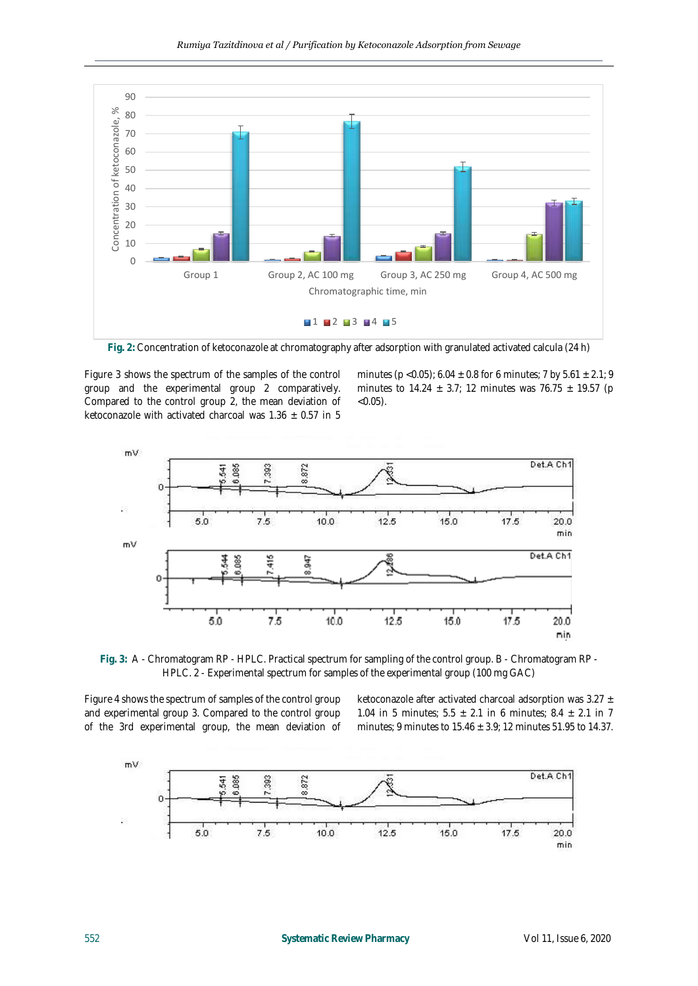

**Fig. 2:** Concentration of ketoconazole at chromatography after adsorption with granulated activated calcula (24 h)

Figure 3 shows the spectrum of the samples of the control group and the experimental group 2 comparatively. Compared to the control group 2, the mean deviation of ketoconazole with activated charcoal was  $1.36 \pm 0.57$  in 5

minutes (p < 0.05); 6.04  $\pm$  0.8 for 6 minutes; 7 by 5.61  $\pm$  2.1; 9 minutes to 14.24  $\pm$  3.7; 12 minutes was 76.75  $\pm$  19.57 (p  $< 0.05$ ).



**Fig. 3:** A - Chromatogram RP - HPLC. Practical spectrum for sampling of the control group. B - Chromatogram RP - HPLC. 2 - Experimental spectrum for samples of the experimental group (100 mg GAC)

Figure 4 shows the spectrum of samples of the control group and experimental group 3. Compared to the control group of the 3rd experimental group, the mean deviation of

ketoconazole after activated charcoal adsorption was  $3.27 \pm$ 1.04 in 5 minutes;  $5.5 \pm 2.1$  in 6 minutes;  $8.4 \pm 2.1$  in 7 minutes; 9 minutes to 15.46 ± 3.9; 12 minutes 51.95 to 14.37.

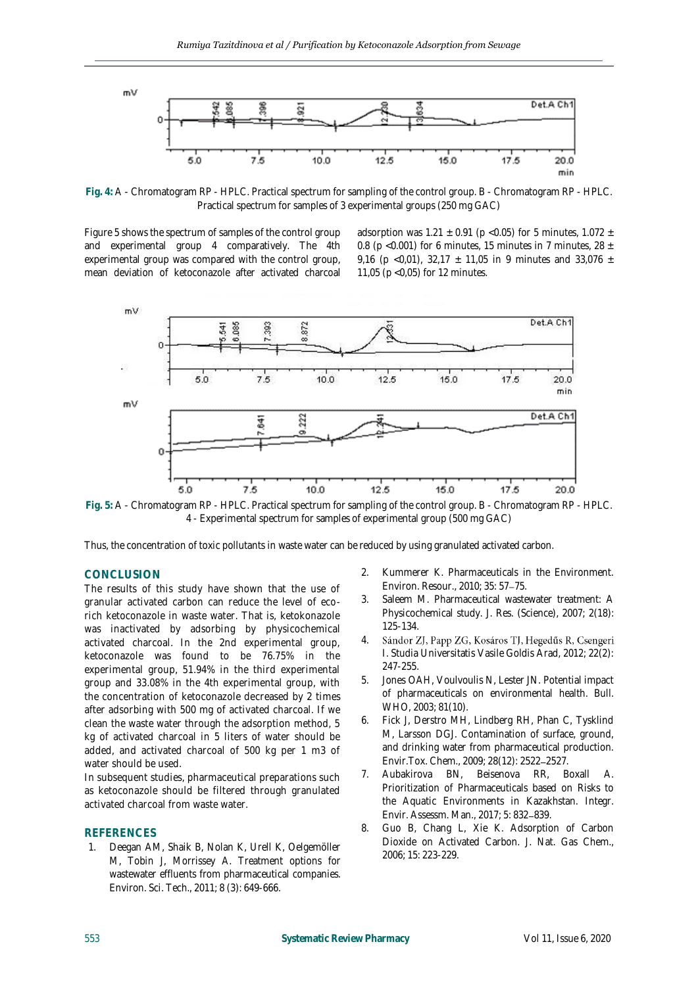

**Fig. 4:** A - Chromatogram RP - HPLC. Practical spectrum for sampling of the control group. B - Chromatogram RP - HPLC. Practical spectrum for samples of 3 experimental groups (250 mg GAC)

Figure 5 shows the spectrum of samples of the control group and experimental group 4 comparatively. The 4th experimental group was compared with the control group, mean deviation of ketoconazole after activated charcoal adsorption was 1.21  $\pm$  0.91 (p <0.05) for 5 minutes, 1.072  $\pm$ 0.8 (p < 0.001) for 6 minutes, 15 minutes in 7 minutes, 28  $\pm$ 9,16 (p < 0,01), 32,17  $\pm$  11,05 in 9 minutes and 33,076  $\pm$ 11,05 (p <0,05) for 12 minutes.



**Fig. 5:** A - Chromatogram RP - HPLC. Practical spectrum for sampling of the control group. B - Chromatogram RP - HPLC. 4 - Experimental spectrum for samples of experimental group (500 mg GAC)

Thus, the concentration of toxic pollutants in waste water can be reduced by using granulated activated carbon.

#### **CONCLUSION**

The results of this study have shown that the use of granular activated carbon can reduce the level of ecorich ketoconazole in waste water. That is, ketokonazole was inactivated by adsorbing by physicochemical activated charcoal. In the 2nd experimental group, ketoconazole was found to be 76.75% in the experimental group, 51.94% in the third experimental group and 33.08% in the 4th experimental group, with the concentration of ketoconazole decreased by 2 times after adsorbing with 500 mg of activated charcoal. If we clean the waste water through the adsorption method, 5 kg of activated charcoal in 5 liters of water should be added, and activated charcoal of 500 kg per 1 m3 of water should be used.

In subsequent studies, pharmaceutical preparations such as ketoconazole should be filtered through granulated activated charcoal from waste water.

#### **REFERENCES**

1. Deegan AM, Shaik B, Nolan K, Urell K, Oelgemöller M, Tobin J, Morrissey A. Treatment options for wastewater effluents from pharmaceutical companies. Environ. Sci. Tech., 2011; 8 (3): 649-666.

- 2. Kummerer K. Pharmaceuticals in the Environment. Environ. Resour., 2010; 35: 57-75.
- 3. Saleem M. Pharmaceutical wastewater treatment: A Physicochemical study. J. Res. (Science), 2007; 2(18): 125-134.
- 4. Sándor ZJ, Papp ZG, Kosáros TJ, Hegedűs R, Csengeri I. Studia Universitatis Vasile Goldis Arad, 2012; 22(2): 247-255.
- 5. Jones OAH, Voulvoulis N, Lester JN. Potential impact of pharmaceuticals on environmental health. Bull. WHO, 2003; 81(10).
- 6. Fick J, Derstro MH, Lindberg RH, Phan C, Tysklind M, Larsson DGJ. Contamination of surface, ground, and drinking water from pharmaceutical production. Envir.Tox. Chem., 2009; 28(12): 2522 2527.
- 7. Aubakirova BN, Beisenova RR, Boxall A. Prioritization of Pharmaceuticals based on Risks to the Aquatic Environments in Kazakhstan. Integr. Envir. Assessm. Man., 2017; 5: 832-839.
- 8. Guo B, Chang L, Xie K. Adsorption of Carbon Dioxide on Activated Carbon. J. Nat. Gas Chem., 2006; 15: 223-229.